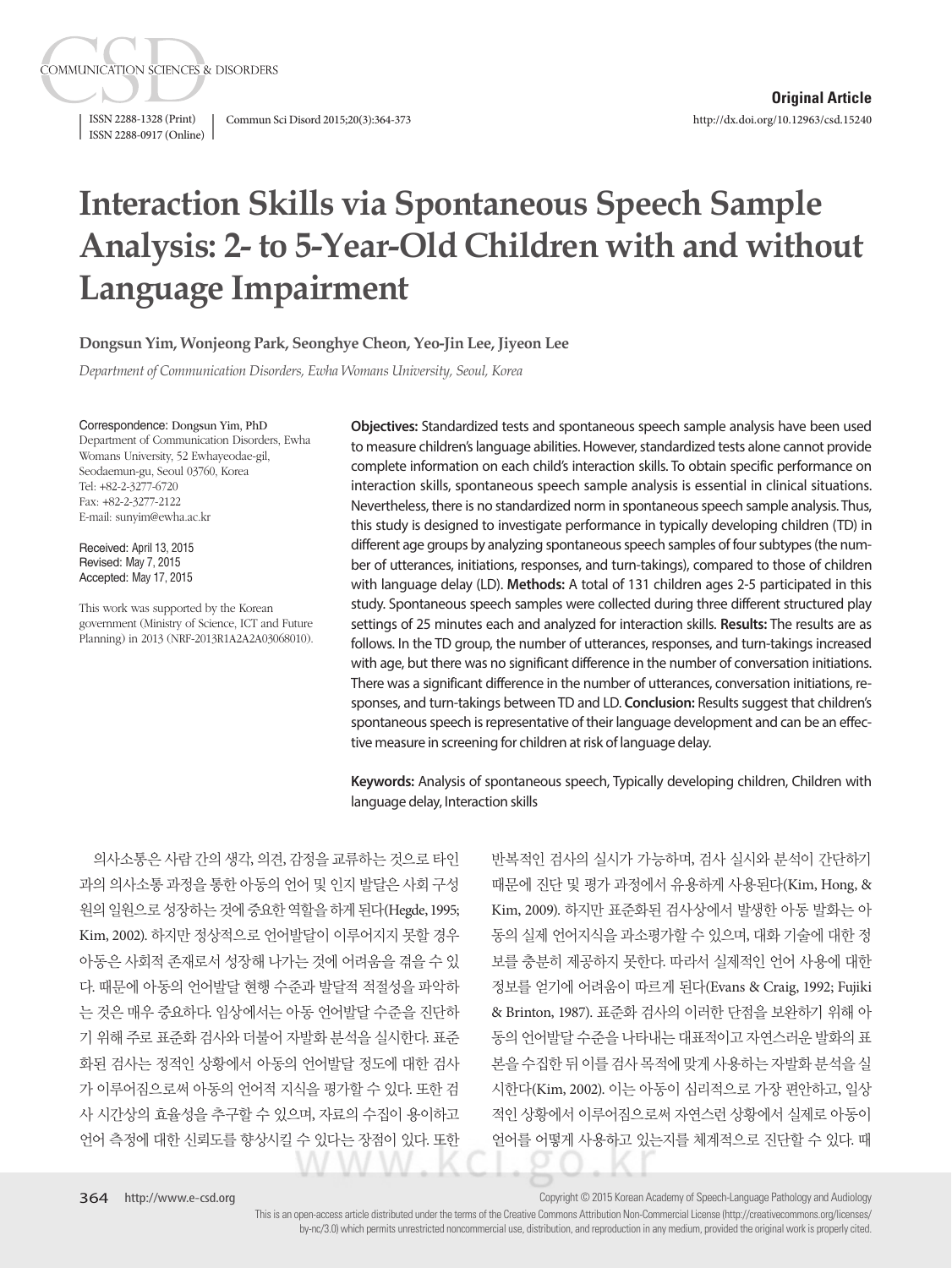ISSN 2288-1328 (Print) Commun Sci Disord 2015;20(3):364-373 ISSN 2288-0917 (Online)

**COMMUNICATION SCIENCES & DISORDERS** 

# **Interaction Skills via Spontaneous Speech Sample Analysis: 2- to 5-Year-Old Children with and without Language Impairment**

**Dongsun Yim, Wonjeong Park, Seonghye Cheon, Yeo-Jin Lee, Jiyeon Lee**

*Department of Communication Disorders, Ewha Womans University, Seoul, Korea*

Correspondence: Dongsun Yim, PhD

Department of Communication Disorders, Ewha Womans University, 52 Ewhayeodae-gil, Seodaemun-gu, Seoul 03760, Korea Tel: +82-2-3277-6720 Fax: +82-2-3277-2122 E-mail: sunyim@ewha.ac.kr

Received: April 13, 2015 Revised: May 7, 2015 Accepted: May 17, 2015

This work was supported by the Korean government (Ministry of Science, ICT and Future Planning) in 2013 (NRF-2013R1A2A2A03068010).

**Objectives:** Standardized tests and spontaneous speech sample analysis have been used to measure children's language abilities. However, standardized tests alone cannot provide complete information on each child's interaction skills. To obtain specific performance on interaction skills, spontaneous speech sample analysis is essential in clinical situations. Nevertheless, there is no standardized norm in spontaneous speech sample analysis. Thus, this study is designed to investigate performance in typically developing children (TD) in different age groups by analyzing spontaneous speech samples of four subtypes (the number of utterances, initiations, responses, and turn-takings), compared to those of children with language delay (LD). **Methods:** A total of 131 children ages 2-5 participated in this study. Spontaneous speech samples were collected during three different structured play settings of 25 minutes each and analyzed for interaction skills. **Results:** The results are as follows. In the TD group, the number of utterances, responses, and turn-takings increased with age, but there was no significant difference in the number of conversation initiations. There was a significant difference in the number of utterances, conversation initiations, responses, and turn-takings between TD and LD. **Conclusion:** Results suggest that children's spontaneous speech is representative of their language development and can be an effective measure in screening for children at risk of language delay.

**Keywords:** Analysis of spontaneous speech, Typically developing children, Children with language delay, Interaction skills

의사소통은 사람 간의 생각, 의견, 감정을 교류하는 것으로 타인 과의 의사소통 과정을 통한 아동의 언어 및 인지 발달은 사회 구성 원의일원으로성장하는것에중요한역할을하게된다(Hegde, 1995; Kim, 2002). 하지만 정상적으로 언어발달이 이루어지지 못할 경우 아동은 사회적 존재로서 성장해 나가는 것에 어려움을 겪을 수 있 다. 때문에 아동의 언어발달 현행 수준과 발달적 적절성을 파악하 는 것은 매우 중요하다. 임상에서는 아동 언어발달 수준을 진단하 기 위해 주로 표준화 검사와 더불어 자발화 분석을 실시한다. 표준 화된 검사는 정적인 상황에서 아동의 언어발달 정도에 대한 검사 가 이루어짐으로써 아동의 언어적 지식을 평가할 수 있다. 또한 검 사 시간상의 효율성을 추구할 수 있으며, 자료의 수집이 용이하고 언어 측정에 대한 신뢰도를 향상시킬 수 있다는 장점이 있다. 또한

반복적인 검사의 실시가 가능하며, 검사 실시와 분석이 간단하기 때문에 진단 및 평가 과정에서 유용하게 사용된다(Kim, Hong, & Kim, 2009). 하지만 표준화된 검사상에서 발생한 아동 발화는 아 동의 실제 언어지식을 과소평가할 수 있으며, 대화 기술에 대한 정 보를 충분히 제공하지 못한다. 따라서 실제적인 언어 사용에 대한 정보를 얻기에 어려움이 따르게 된다(Evans & Craig, 1992; Fujiki & Brinton, 1987). 표준화 검사의 이러한 단점을 보완하기 위해 아 동의 언어발달 수준을 나타내는 대표적이고 자연스러운 발화의 표 본을 수집한 뒤 이를 검사 목적에 맞게 사용하는 자발화 분석을 실 시한다(Kim, 2002). 이는 아동이 심리적으로 가장 편안하고, 일상 적인 상황에서 이루어짐으로써 자연스런 상황에서 실제로 아동이 언어를 어떻게 사용하고 있는지를 체계적으로 진단할 수 있다. 때

Copyright © 2015 Korean Academy of Speech-Language Pathology and Audiology

This is an open-access article distributed under the terms of the Creative Commons Attribution Non-Commercial License (http://creativecommons.org/licenses/ by-nc/3.0) which permits unrestricted noncommercial use, distribution, and reproduction in any medium, provided the original work is properly cited.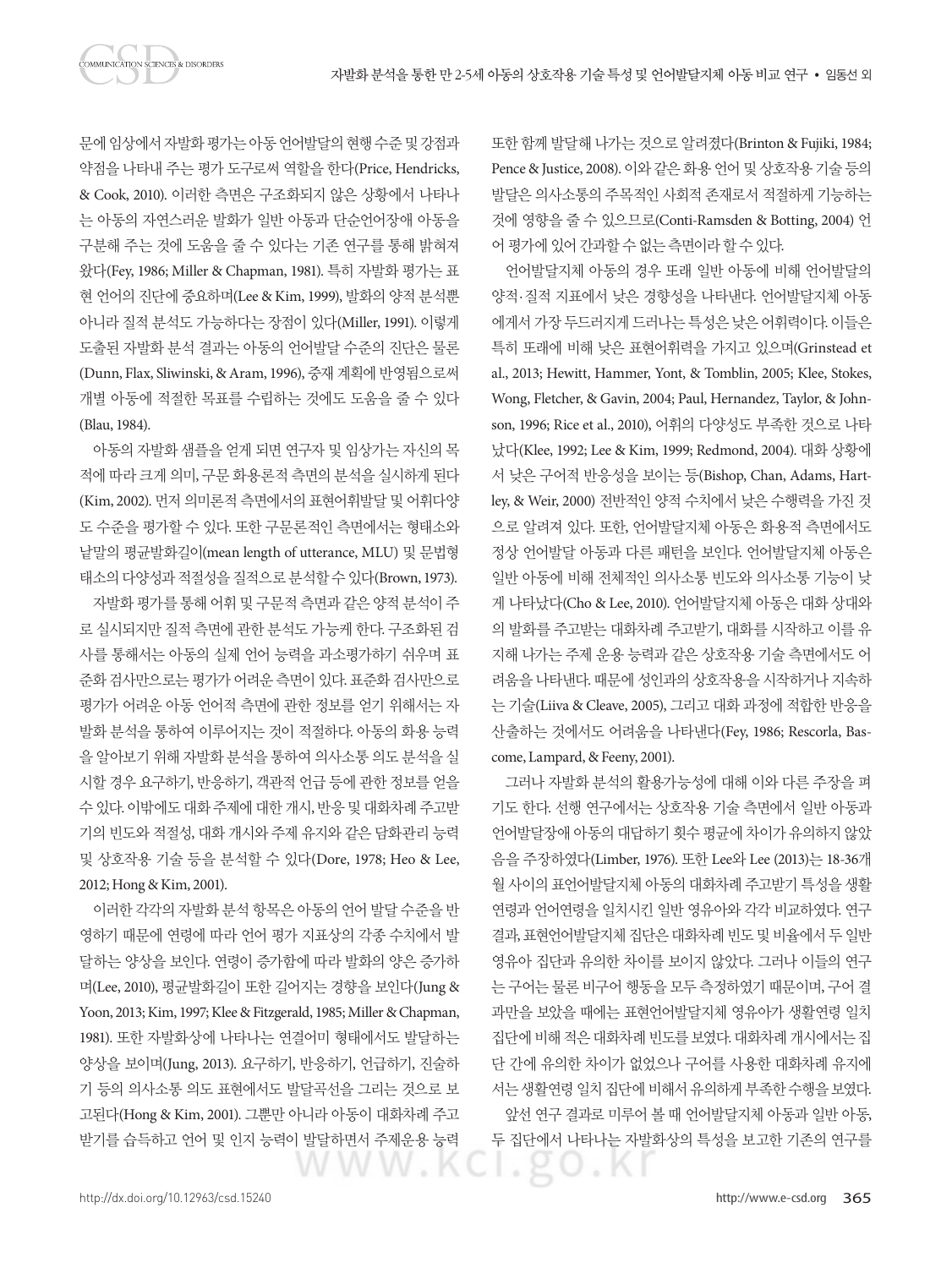문에 임상에서 자발화 평가는 아동 언어발달의 현행 수준 및 강점과 약점을 나타내 주는 평가 도구로써 역할을 한다(Price, Hendricks, & Cook, 2010). 이러한 측면은 구조화되지 않은 상황에서 나타나 는 아동의 자연스러운 발화가 일반 아동과 단순언어장애 아동을 구분해 주는 것에 도움을 줄 수 있다는 기존 연구를 통해 밝혀져 왔다(Fey, 1986; Miller & Chapman, 1981). 특히 자발화 평가는 표 현 언어의 진단에 중요하며(Lee & Kim, 1999), 발화의 양적 분석뿐 아니라 질적 분석도 가능하다는 장점이 있다(Miller, 1991). 이렇게 도출된 자발화 분석 결과는 아동의 언어발달 수준의 진단은 물론 (Dunn, Flax, Sliwinski, & Aram, 1996), 중재 계획에 반영됨으로써 개별 아동에 적절한 목표를 수립하는 것에도 도움을 줄 수 있다 (Blau, 1984).

아동의 자발화 샘플을 얻게 되면 연구자 및 임상가는 자신의 목 적에 따라 크게 의미, 구문 화용론적 측면의 분석을 실시하게 된다 (Kim, 2002). 먼저 의미론적 측면에서의 표현어휘발달 및 어휘다양 도 수준을 평가할 수 있다. 또한 구문론적인 측면에서는 형태소와 낱말의 평균발화길이(mean length of utterance, MLU) 및 문법형 태소의 다양성과 적절성을 질적으로 분석할 수 있다(Brown, 1973).

자발화 평가를 통해 어휘 및 구문적 측면과 같은 양적 분석이 주 로 실시되지만 질적 측면에 관한 분석도 가능케 한다. 구조화된 검 사를 통해서는 아동의 실제 언어 능력을 과소평가하기 쉬우며 표 준화 검사만으로는 평가가 어려운 측면이 있다. 표준화 검사만으로 평가가 어려운 아동 언어적 측면에 관한 정보를 얻기 위해서는 자 발화 분석을 통하여 이루어지는 것이 적절하다. 아동의 화용 능력 을 알아보기 위해 자발화 분석을 통하여 의사소통 의도 분석을 실 시할 경우 요구하기, 반응하기, 객관적 언급 등에 관한 정보를 얻을 수 있다. 이밖에도 대화 주제에 대한 개시, 반응 및 대화차례 주고받 기의 빈도와 적절성, 대화 개시와 주제 유지와 같은 담화관리 능력 및 상호작용 기술 등을 분석할 수 있다(Dore, 1978; Heo & Lee, 2012; Hong & Kim, 2001).

이러한 각각의 자발화 분석 항목은 아동의 언어 발달 수준을 반 영하기 때문에 연령에 따라 언어 평가 지표상의 각종 수치에서 발 달하는 양상을 보인다. 연령이 증가함에 따라 발화의 양은 증가하 며(Lee, 2010), 평균발화길이 또한 길어지는 경향을 보인다(Jung & Yoon, 2013; Kim, 1997; Klee & Fitzgerald, 1985; Miller & Chapman, 1981). 또한 자발화상에 나타나는 연결어미 형태에서도 발달하는 양상을 보이며(Jung, 2013). 요구하기, 반응하기, 언급하기, 진술하 기 등의 의사소통 의도 표현에서도 발달곡선을 그리는 것으로 보 고된다(Hong & Kim, 2001). 그뿐만 아니라 아동이 대화차례 주고 받기를 습득하고 언어 및 인지 능력이 발달하면서 주제운용 능력

또한 함께 발달해 나가는 것으로 알려졌다(Brinton & Fujiki, 1984; Pence & Justice, 2008). 이와 같은 화용 언어 및 상호작용 기술 등의 발달은 의사소통의 주목적인 사회적 존재로서 적절하게 기능하는 것에 영향을 줄 수 있으므로(Conti-Ramsden & Botting, 2004) 언 어 평가에 있어 가과할 수 없는 측면이라 할 수 있다.

언어발달지체 아동의 경우 또래 일반 아동에 비해 언어발달의 양적·질적 지표에서 낮은 경향성을 나타낸다. 언어발달지체 아동 에게서 가장 두드러지게 드러나는 특성은 낮은 어휘력이다. 이들은 특히 또래에 비해 낮은 표현어휘력을 가지고 있으며(Grinstead et al., 2013; Hewitt, Hammer, Yont, & Tomblin, 2005; Klee, Stokes, Wong, Fletcher, & Gavin, 2004; Paul, Hernandez, Taylor, & Johnson, 1996; Rice et al., 2010), 어휘의 다양성도 부족한 것으로 나타 났다(Klee, 1992; Lee & Kim, 1999; Redmond, 2004). 대화 상황에 서 낮은 구어적 반응성을 보이는 등(Bishop, Chan, Adams, Hartley, & Weir, 2000) 전반적인 양적 수치에서 낮은 수행력을 가진 것 으로 알려져 있다. 또한, 언어발달지체 아동은 화용적 측면에서도 정상 언어발달 아동과 다른 패턴을 보인다. 언어발달지체 아동은 일반 아동에 비해 전체적인 의사소통 빈도와 의사소통 기능이 낮 게 나타났다(Cho & Lee, 2010). 언어발달지체 아동은 대화 상대와 의 발화를 주고받는 대화차례 주고받기, 대화를 시작하고 이를 유 지해 나가는 주제 운용 능력과 같은 상호작용 기술 측면에서도 어 려움을 나타낸다. 때문에 성인과의 상호작용을 시작하거나 지속하 는 기술(Liiva & Cleave, 2005), 그리고 대화 과정에 적합한 반응을 산출하는 것에서도 어려움을 나타낸다(Fey, 1986; Rescorla, Bascome, Lampard, & Feeny, 2001).

그러나 자발화 분석의 활용가능성에 대해 이와 다른 주장을 펴 기도 한다. 선행 연구에서는 상호작용 기술 측면에서 일반 아동과 언어발달장애 아동의 대답하기 횟수 평균에 차이가 유의하지 않았 음을 주장하였다(Limber, 1976). 또한 Lee와 Lee (2013)는 18-36개 월 사이의 표언어발달지체 아동의 대화차례 주고받기 특성을 생활 연령과 언어연령을 일치시킨 일반 영유아와 각각 비교하였다. 연구 결과, 표현언어발달지체 집단은 대화차례 빈도 및 비율에서 두 일반 영유아 집단과 유의한 차이를 보이지 않았다. 그러나 이들의 연구 는 구어는 물론 비구어 행동을 모두 측정하였기 때문이며, 구어 결 과만을 보았을 때에는 표현언어발달지체 영유아가 생활연령 일치 집단에 비해 적은 대화차례 빈도를 보였다. 대화차례 개시에서는 집 단 간에 유의한 차이가 없었으나 구어를 사용한 대화차례 유지에 서는 생활연령 일치 집단에 비해서 유의하게 부족한 수행을 보였다. 앞선 연구 결과로 미루어 볼 때 언어발달지체 아동과 일반 아동, 두 집단에서 나타나는 자발화상의 특성을 보고한 기존의 연구를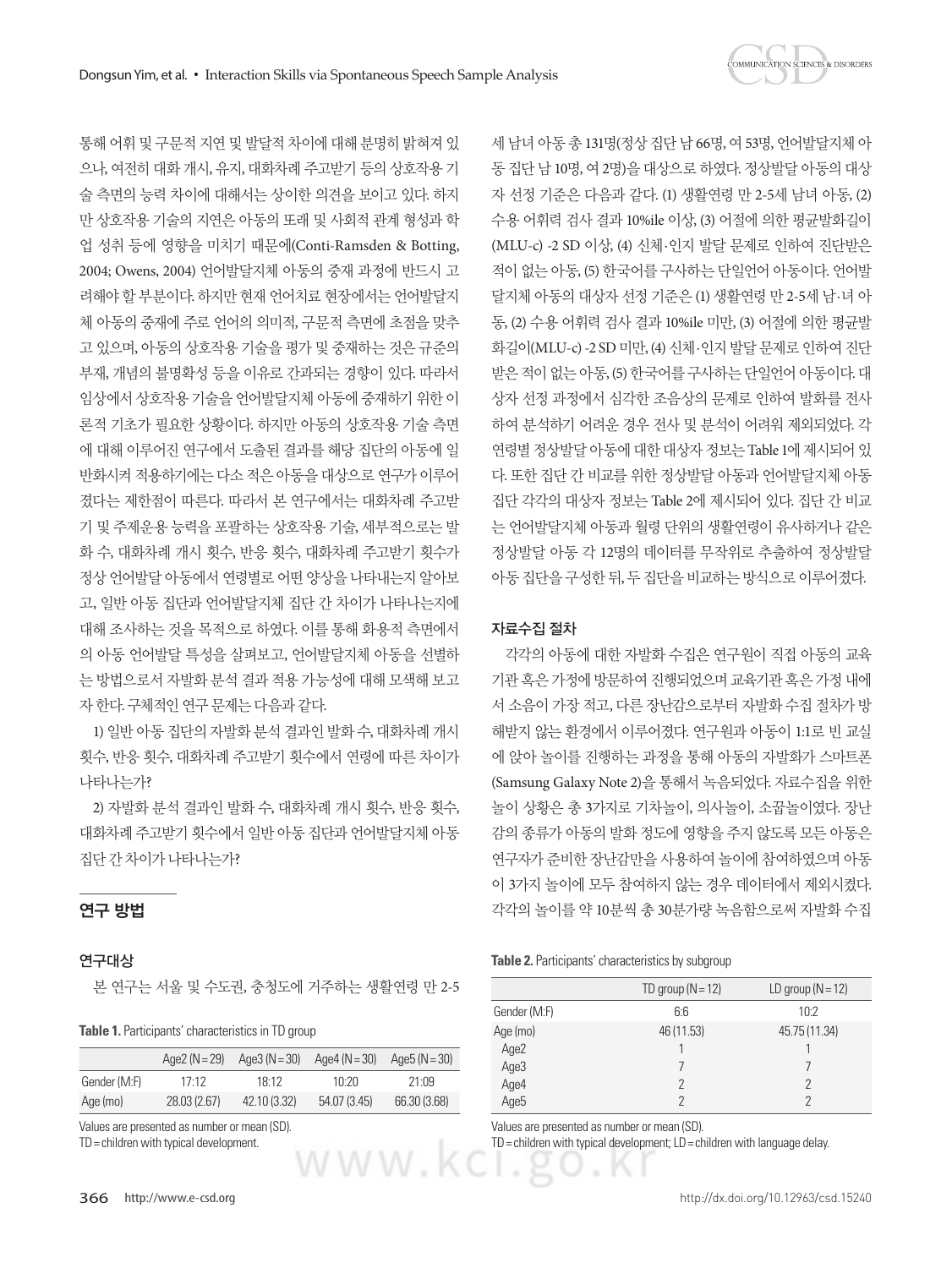

통해 어휘 및 구문적 지연 및 발달적 차이에 대해 분명히 밝혀져 있 으나, 여전히 대화 개시, 유지, 대화차례 주고받기 등의 상호작용 기 술 측면의 능력 차이에 대해서는 상이한 의견을 보이고 있다. 하지 만 상호작용 기술의 지연은 아동의 또래 및 사회적 관계 형성과 학 업 성취 등에 영향을 미치기 때문에(Conti-Ramsden & Botting, 2004; Owens, 2004) 언어발달지체 아동의 중재 과정에 반드시 고 려해야 할 부분이다. 하지만 현재 언어치료 현장에서는 언어발달지 체 아동의 중재에 주로 언어의 의미적, 구문적 측면에 초점을 맞추 고 있으며, 아동의 상호작용 기술을 평가 및 중재하는 것은 규준의 부재, 개념의 불명확성 등을 이유로 간과되는 경향이 있다. 따라서 임상에서 상호작용 기술을 언어발달지체 아동에 중재하기 위한 이 론적 기초가 필요한 상황이다. 하지만 아동의 상호작용 기술 측면 에 대해 이루어진 연구에서 도출된 결과를 해당 집단의 아동에 일 반화시켜 적용하기에는 다소 적은 아동을 대상으로 연구가 이루어 졌다는 제한점이 따른다. 따라서 본 연구에서는 대화차례 주고받 기 및 주제운용 능력을 포괄하는 상호작용 기술, 세부적으로는 발 화 수, 대화차례 개시 횟수, 반응 횟수, 대화차례 주고받기 횟수가 정상 언어발달 아동에서 연령별로 어떤 양상을 나타내는지 알아보 고, 일반 아동 집단과 언어발달지체 집단 간 차이가 나타나는지에 대해 조사하는 것을 목적으로 하였다. 이를 통해 화용적 측면에서 의 아동 언어발달 특성을 살펴보고, 언어발달지체 아동을 선별하 는 방법으로서 자발화 분석 결과 적용 가능성에 대해 모색해 보고 자 한다. 구체적인 연구 문제는 다음과 같다.

1) 일반 아동 집단의 자발화 분석 결과인 발화 수, 대화차례 개시 횟수, 반응 횟수, 대화차례 주고받기 횟수에서 연령에 따른 차이가 나타나는가?

2) 자발화 분석 결과인 발화 수, 대화차례 개시 횟수, 반응 횟수, 대화차례 주고받기 횟수에서 일반 아동 집단과 언어발달지체 아동 집단간차이가나타나는가?

## 연구 방법

## 연구대상

본 연구는 서울 및 수도권, 충청도에 거주하는 생활연령 만 2-5

**Table 1.** Participants' characteristics in TD group

|              | Age2 ( $N = 29$ ) | Age3 ( $N = 30$ ) | Age4 (N = 30) | Age $5(N=30)$ |
|--------------|-------------------|-------------------|---------------|---------------|
| Gender (M:F) | 17:12             | 18:12             | 10:20         | 21.09         |
| Age (mo)     | 28.03 (2.67)      | 42.10 (3.32)      | 54.07 (3.45)  | 66.30 (3.68)  |

Values are presented as number or mean (SD).

TD= children with typical development.

세 남녀 아동 총 131명(정상 집단 남 66명, 여 53명, 언어발달지체 아 동 집단 남 10명, 여 2명)을 대상으로 하였다. 정상발달 아동의 대상 자 선정 기준은 다음과 같다. (1) 생활연령 만 2-5세 남녀 아동, (2) 수용 어휘력 검사 결과 10%ile 이상, (3) 어절에 의한 평균발화길이 (MLU-c) -2 SD 이상, (4) 신체·인지 발달 문제로 인하여 진단받은 적이 없는 아동, (5) 한국어를 구사하는 단일언어 아동이다. 언어발 달지체 아동의 대상자 선정 기준은 (1) 생활연령 만 2-5세 남·녀 아 동, (2) 수용 어휘력 검사 결과 10%ile 미만, (3) 어절에 의한 평균발 화길이(MLU-c) -2 SD 미만, (4) 신체·인지 발달 문제로 인하여 진단 받은 적이 없는 아동, (5) 한국어를 구사하는 단일언어 아동이다. 대 상자 선정 과정에서 심각한 조음상의 문제로 인하여 발화를 전사 하여 분석하기 어려운 경우 전사 및 분석이 어려워 제외되었다. 각 연령별 정상발달 아동에 대한 대상자 정보는 Table 1에 제시되어 있 다. 또한 집단 간 비교를 위한 정상발달 아동과 언어발달지체 아동 집단 각각의 대상자 정보는 Table 2에 제시되어 있다. 집단 간 비교 는 언어발달지체 아동과 월령 단위의 생활연령이 유사하거나 같은 정상발달 아동 각 12명의 데이터를 무작위로 추출하여 정상발달 아동집단을구성한뒤, 두집단을비교하는방식으로이루어졌다.

#### 자료수집 절차

각각의 아동에 대한 자발화 수집은 연구원이 직접 아동의 교육 기관 혹은 가정에 방문하여 진행되었으며 교육기관 혹은 가정 내에 서 소음이 가장 적고, 다른 장난감으로부터 자발화 수집 절차가 방 해받지 않는 환경에서 이루어졌다. 연구원과 아동이 1:1로 빈 교실 에 앉아 놀이를 진행하는 과정을 통해 아동의 자발화가 스마트폰 (Samsung Galaxy Note 2)을 통해서 녹음되었다. 자료수집을 위한 놀이 상황은 총 3가지로 기차놀이, 의사놀이, 소꿉놀이였다. 장난 감의 종류가 아동의 발화 정도에 영향을 주지 않도록 모든 아동은 연구자가 준비한 장난감만을 사용하여 놀이에 참여하였으며 아동 이 3가지 놀이에 모두 참여하지 않는 경우 데이터에서 제외시켰다. 각각의 놀이를 약 10분씩 총 30분가량 녹음함으로써 자발화 수집

#### **Table 2.** Participants' characteristics by subgroup

|                      | TD group $(N = 12)$ | LD group $(N = 12)$ |
|----------------------|---------------------|---------------------|
| Gender (M:F)         | 6:6                 | 10:2                |
| Age (mo)             | 46 (11.53)          | 45.75 (11.34)       |
| Age2                 |                     |                     |
| Age3<br>Age4<br>Age5 |                     |                     |
|                      |                     | 2                   |
|                      |                     |                     |

Values are presented as number or mean (SD).

TD= children with typical development; LD= children with language delay.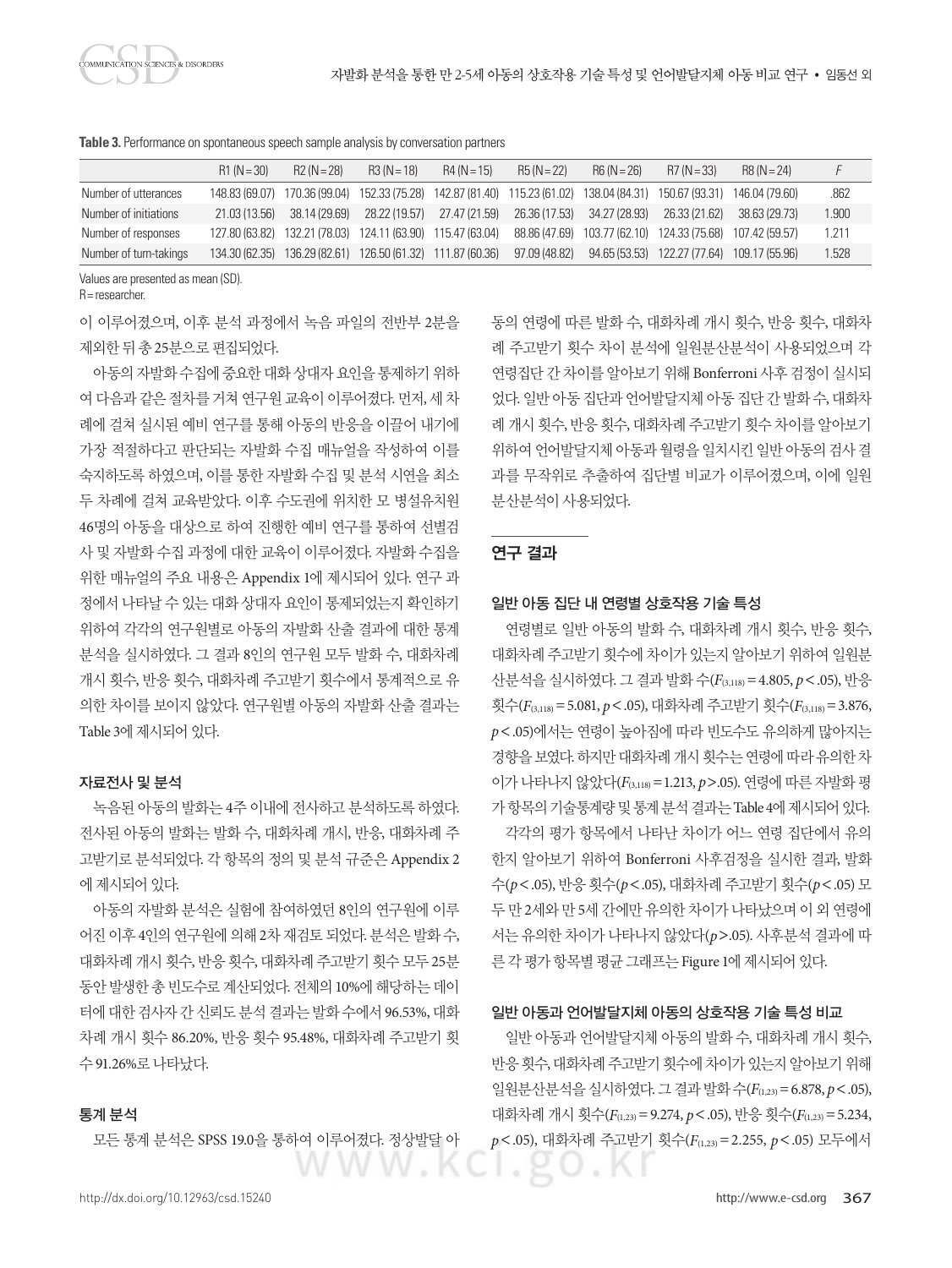**Table 3.** Performance on spontaneous speech sample analysis by conversation partners

|                        | $R1(N=30)$    | $R2 (N = 28)$ | $R3 (N = 18)$ | $R4(N = 15)$                                                                                                            | $RS(N=22)$    | $R6 (N = 26)$                                              | $R7 (N = 33)$                               | $R8 (N = 24)$ |       |
|------------------------|---------------|---------------|---------------|-------------------------------------------------------------------------------------------------------------------------|---------------|------------------------------------------------------------|---------------------------------------------|---------------|-------|
| Number of utterances   |               |               |               | 148.83 (69.07) 170.36 (99.04) 152.33 (75.28) 142.87 (81.40) 115.23 (61.02) 138.04 (84.31) 150.67 (93.31) 146.04 (79.60) |               |                                                            |                                             |               | .862  |
| Number of initiations  | 21.03 (13.56) | 38.14 (29.69) | 28.22 (19.57) | 27.47 (21.59) 26.36 (17.53) 34.27 (28.93) 26.33 (21.62)                                                                 |               |                                                            |                                             | 38.63 (29.73) | 1.900 |
| Number of responses    |               |               |               | 127.80 (63.82) 132.21 (78.03) 124.11 (63.90) 115.47 (63.04)                                                             |               | 88.86 (47.69) 103.77 (62.10) 124.33 (75.68) 107.42 (59.57) |                                             |               | 1.211 |
| Number of turn-takings |               |               |               | 134.30 (62.35) 136.29 (82.61) 126.50 (61.32) 111.87 (60.36)                                                             | 97.09 (48.82) |                                                            | 94.65 (53.53) 122.27 (77.64) 109.17 (55.96) |               | 1.528 |

Values are presented as mean (SD).

R= researcher.

이 이루어졌으며, 이후 분석 과정에서 녹음 파일의 전반부 2분을 제외한뒤총 25분으로편집되었다.

아동의 자발화 수집에 중요한 대화 상대자 요인을 통제하기 위하 여 다음과 같은 절차를 거쳐 연구원 교육이 이루어졌다. 먼저, 세 차 례에 걸쳐 실시된 예비 연구를 통해 아동의 반응을 이끌어 내기에 가장 적절하다고 판단되는 자발화 수집 매뉴얼을 작성하여 이를 숙지하도록 하였으며, 이를 통한 자발화 수집 및 분석 시연을 최소 두 차례에 걸쳐 교육받았다. 이후 수도권에 위치한 모 병설유치원 46명의 아동을 대상으로 하여 진행한 예비 연구를 통하여 선별검 사 및 자발화 수집 과정에 대한 교육이 이루어졌다. 자발화 수집을 위한 매뉴얼의 주요 내용은 Appendix 1에 제시되어 있다. 연구 과 정에서 나타날 수 있는 대화 상대자 요인이 통제되었는지 확인하기 위하여 각각의 연구원별로 아동의 자발화 산출 결과에 대한 통계 분석을 실시하였다. 그 결과 8인의 연구원 모두 발화 수, 대화차례 개시 횟수, 반응 횟수, 대화차례 주고받기 횟수에서 통계적으로 유 의한 차이를 보이지 않았다. 연구원별 아동의 자발화 산출 결과는 Table 3에 제시되어 있다.

#### 자료전사 및 분석

녹음된 아동의 발화는 4주 이내에 전사하고 분석하도록 하였다. 전사된 아동의 발화는 발화 수, 대화차례 개시, 반응, 대화차례 주 고받기로 분석되었다. 각 항목의 정의 및 분석 규준은 Appendix 2 에 제시되어 있다.

아동의 자발화 분석은 실험에 참여하였던 8인의 연구원에 이루 어진 이후 4인의 연구원에 의해 2차 재검토 되었다. 분석은 발화 수, 대화차례 개시 횟수, 반응 횟수, 대화차례 주고받기 횟수 모두 25분 동안 발생한 총 빈도수로 계산되었다. 전체의 10%에 해당하는 데이 터에대한검사자간신뢰도분석결과는발화수에서 96.53%, 대화 차례 개시 횟수 86.20%, 반응 횟수 95.48%, 대화차례 주고받기 횟 수 91.26%로나타났다.

## 통계 분석

모든 통계 분석은 SPSS 19.0을 통하여 이루어졌다. 정상발달 아

동의 연령에 따른 발화 수, 대화차례 개시 횟수, 반응 횟수, 대화차 례 주고받기 횟수 차이 분석에 일원분산분석이 사용되었으며 각 연령집단 간 차이를 알아보기 위해 Bonferroni 사후 검정이 실시되 었다. 일반 아동 집단과 언어발달지체 아동 집단 간 발화 수, 대화차 례 개시 횟수, 반응 횟수, 대화차례 주고받기 횟수 차이를 알아보기 위하여 언어발달지체 아동과 월령을 일치시킨 일반 아동의 검사 결 과를 무작위로 추출하여 집단별 비교가 이루어졌으며, 이에 일원 분산분석이사용되었다.

## 연구 결과

#### 일반 아동 집단 내 연령별 상호작용 기술 특성

연령별로 일반 아동의 발화 수, 대화차례 개시 횟수, 반응 횟수, 대화차례 주고받기 횟수에 차이가 있는지 알아보기 위하여 일원분 산분석을 실시하였다. 그 결과 발화 수(*F*(3,118)=4.805, *p*<.05), 반응 횟수(*F*(3,118)=5.081, *p*<.05), 대화차례 주고받기 횟수(*F*(3,118)=3.876, *p*<.05)에서는 연령이 높아짐에 따라 빈도수도 유의하게 많아지는 경향을 보였다. 하지만 대화차례 개시 횟수는 연령에 따라 유의한 차 이가 나타나지 않았다(*F*(3,118)=1.213, *p*>.05). 연령에 따른 자발화 평 가 항목의 기술통계량 및 통계 분석 결과는 Table 4에 제시되어 있다. 각각의 평가 항목에서 나타난 차이가 어느 연령 집단에서 유의 한지 알아보기 위하여 Bonferroni 사후검정을 실시한 결과, 발화 수(*p*<.05), 반응 횟수(*p*<.05), 대화차례 주고받기 횟수(*p*<.05) 모 두 만 2세와 만 5세 간에만 유의한 차이가 나타났으며 이 외 연령에 서는 유의한 차이가 나타나지 않았다(*p*>.05). 사후분석 결과에 따 른 각 평가 항목별 평균 그래프는 Figure 1에 제시되어 있다.

## 일반 아동과 언어발달지체 아동의 상호작용 기술 특성 비교

일반 아동과 언어발달지체 아동의 발화 수, 대화차례 개시 횟수, 반응횟수, 대화차례주고받기횟수에차이가있는지알아보기위해 일원분산분석을실시하였다. 그결과발화수(*F*(1,23)=6.878, *p*<.05), 대화차례 개시 횟수(*F*(1,23)=9.274, *p*<.05), 반응 횟수(*F*(1,23)=5.234, *p*<.05), 대화차례 주고받기 횟수(*F*(1,23)=2.255, *p*<.05) 모두에서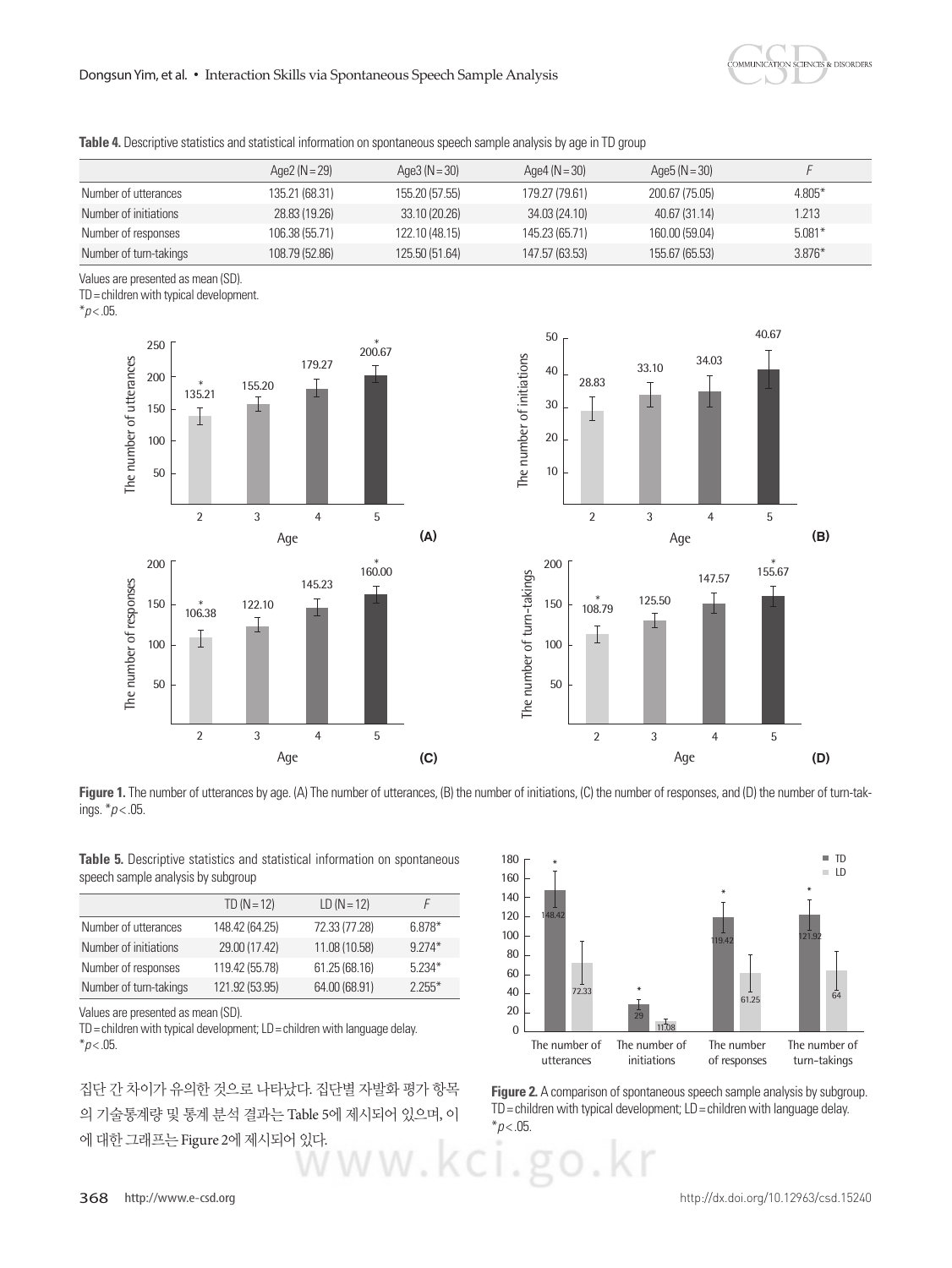

| Table 4. Descriptive statistics and statistical information on spontaneous speech sample analysis by age in TD group |  |  |
|----------------------------------------------------------------------------------------------------------------------|--|--|
|----------------------------------------------------------------------------------------------------------------------|--|--|

|                        | Age2 $(N=29)$  | Age3 $(N=30)$  | Age4 ( $N = 30$ ) | Age5 ( $N = 30$ ) |          |
|------------------------|----------------|----------------|-------------------|-------------------|----------|
| Number of utterances   | 135.21 (68.31) | 155.20 (57.55) | 179.27 (79.61)    | 200.67 (75.05)    | 4.805*   |
| Number of initiations  | 28.83 (19.26)  | 33.10 (20.26)  | 34.03 (24.10)     | 40.67 (31.14)     | 1.213    |
| Number of responses    | 106.38 (55.71) | 122.10 (48.15) | 145.23 (65.71)    | 160.00 (59.04)    | $5.081*$ |
| Number of turn-takings | 108.79 (52.86) | 125.50 (51.64) | 147.57 (63.53)    | 155.67 (65.53)    | $3.876*$ |

Values are presented as mean (SD).

TD= children with typical development.

 $*p$  < .05.





**Figure 1.** The number of utterances by age. (A) The number of utterances, (B) the number of initiations, (C) the number of responses, and (D) the number of turn-takings. \**p* < .05.

|  |                                    |  |  | Table 5. Descriptive statistics and statistical information on spontaneous |
|--|------------------------------------|--|--|----------------------------------------------------------------------------|
|  | speech sample analysis by subgroup |  |  |                                                                            |

|                        | $TD (N = 12)$  | $LD (N = 12)$ |          |
|------------------------|----------------|---------------|----------|
| Number of utterances   | 148.42 (64.25) | 72.33 (77.28) | $6.878*$ |
| Number of initiations  | 29.00 (17.42)  | 11.08 (10.58) | $9774*$  |
| Number of responses    | 119.42 (55.78) | 61.25 (68.16) | $5.234*$ |
| Number of turn-takings | 121.92 (53.95) | 64.00 (68.91) | $2.255*$ |

Values are presented as mean (SD).

TD= children with typical development; LD= children with language delay.  $*p$  < .05.

집단 간 차이가 유의한 것으로 나타났다. 집단별 자발화 평가 항목 의 기술통계량 및 통계 분석 결과는 Table 5에 제시되어 있으며, 이 에 대한 그래프는 Figure 2에 제시되어 있다.



**Figure 2.** A comparison of spontaneous speech sample analysis by subgroup.  $TD =$  children with typical development;  $LD =$  children with language delay.  $*p$  < .05.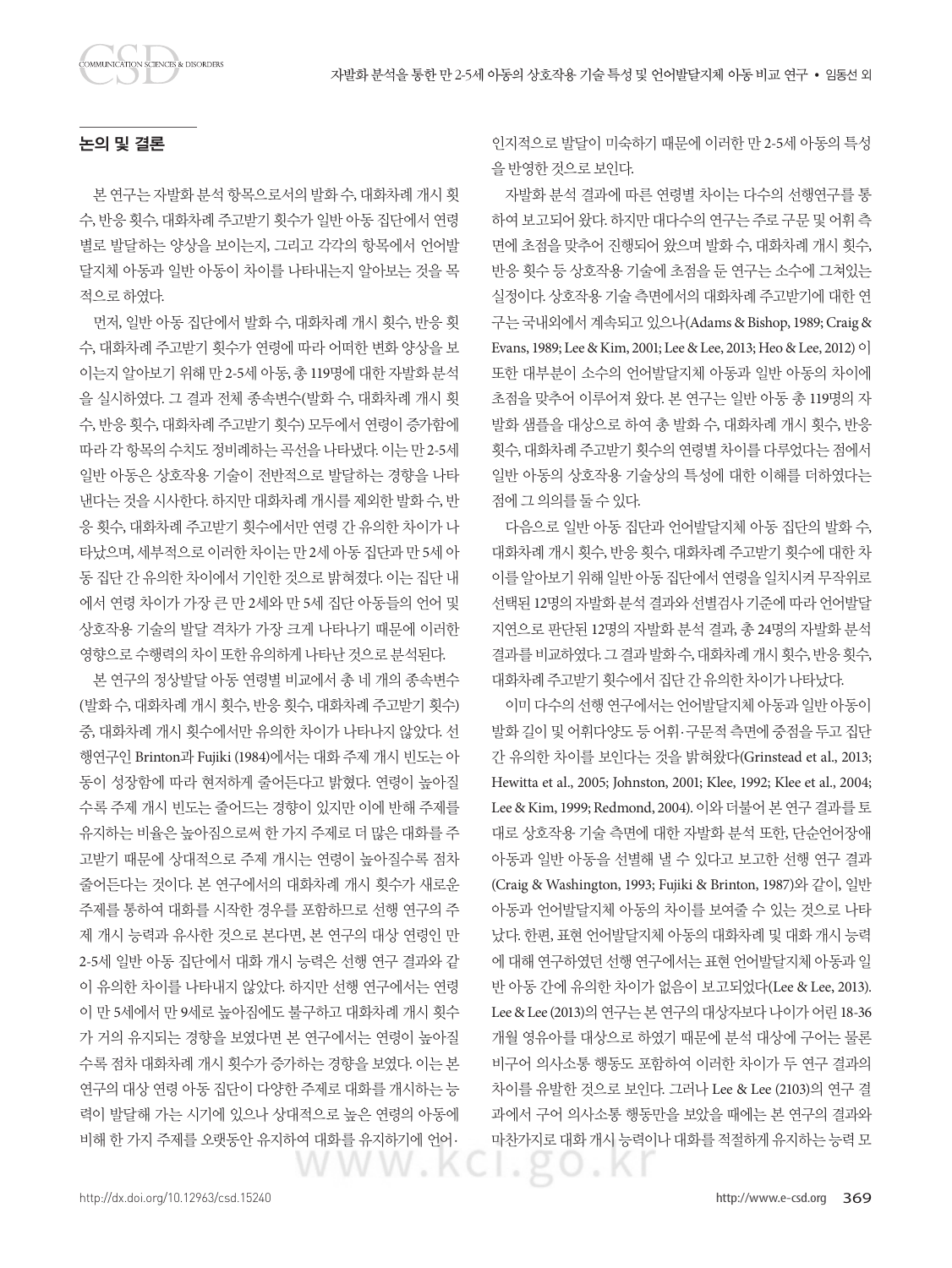## 논의 및 결론

본 연구는 자발화 분석 항목으로서의 발화 수, 대화차례 개시 횟 수, 반응 횟수, 대화차례 주고받기 횟수가 일반 아동 집단에서 연령 별로 발달하는 양상을 보이는지, 그리고 각각의 항목에서 언어발 달지체 아동과 일반 아동이 차이를 나타내는지 알아보는 것을 목 적으로하였다.

먼저, 일반 아동 집단에서 발화 수, 대화차례 개시 횟수, 반응 횟 수, 대화차례 주고받기 횟수가 연령에 따라 어떠한 변화 양상을 보 이는지 알아보기 위해 만 2-5세 아동, 총 119명에 대한 자발화 분석 을 실시하였다. 그 결과 전체 종속변수(발화 수, 대화차례 개시 횟 수, 반응 횟수, 대화차례 주고받기 횟수) 모두에서 연령이 증가함에 따라 각 항목의 수치도 정비례하는 곡선을 나타냈다. 이는 만 2-5세 일반 아동은 상호작용 기술이 전반적으로 발달하는 경향을 나타 낸다는 것을 시사한다. 하지만 대화차례 개시를 제외한 발화 수, 반 응 횟수, 대화차례 주고받기 횟수에서만 연령 간 유의한 차이가 나 타났으며, 세부적으로 이러한 차이는 만 2세 아동 집단과 만 5세 아 동 집단 간 유의한 차이에서 기인한 것으로 밝혀졌다. 이는 집단 내 에서 연령 차이가 가장 큰 만 2세와 만 5세 집단 아동들의 언어 및 상호작용 기술의 발달 격차가 가장 크게 나타나기 때문에 이러한 영향으로수행력의차이또한유의하게나타난것으로분석된다.

본 연구의 정상발달 아동 연령별 비교에서 총 네 개의 종속변수 (발화 수, 대화차례 개시 횟수, 반응 횟수, 대화차례 주고받기 횟수) 중, 대화차례 개시 횟수에서만 유의한 차이가 나타나지 않았다. 선 행연구인 Brinton과 Fujiki (1984)에서는 대화 주제 개시 빈도는 아 동이 성장함에 따라 현저하게 줄어든다고 밝혔다. 연령이 높아질 수록 주제 개시 빈도는 줄어드는 경향이 있지만 이에 반해 주제를 유지하는 비율은 높아짐으로써 한 가지 주제로 더 많은 대화를 주 고받기 때문에 상대적으로 주제 개시는 연령이 높아질수록 점차 줄어든다는 것이다. 본 연구에서의 대화차례 개시 횟수가 새로운 주제를 통하여 대화를 시작한 경우를 포함하므로 선행 연구의 주 제 개시 능력과 유사한 것으로 본다면, 본 연구의 대상 연령인 만 2-5세 일반 아동 집단에서 대화 개시 능력은 선행 연구 결과와 같 이 유의한 차이를 나타내지 않았다. 하지만 선행 연구에서는 연령 이 만 5세에서 만 9세로 높아짐에도 불구하고 대화차례 개시 횟수 가 거의 유지되는 경향을 보였다면 본 연구에서는 연령이 높아질 수록 점차 대화차례 개시 횟수가 증가하는 경향을 보였다. 이는 본 연구의 대상 연령 아동 집단이 다양한 주제로 대화를 개시하는 능 력이 발달해 가는 시기에 있으나 상대적으로 높은 연령의 아동에 비해 한 가지 주제를 오랫동안 유지하여 대화를 유지하기에 언어·

인지적으로 발달이 미숙하기 때문에 이러한 만 2-5세 아동의 특성 을반영한것으로보인다.

자발화 분석 결과에 따른 연령별 차이는 다수의 선행연구를 통 하여 보고되어 왔다. 하지만 대다수의 연구는 주로 구문 및 어휘 측 면에 초점을 맞추어 진행되어 왔으며 발화 수, 대화차례 개시 횟수, 반응 횟수 등 상호작용 기술에 초점을 둔 연구는 소수에 그쳐있는 실정이다. 상호작용 기술 측면에서의 대화차례 주고받기에 대한 연 구는 국내외에서 계속되고 있으나(Adams & Bishop, 1989; Craig & Evans, 1989; Lee & Kim, 2001; Lee & Lee, 2013; Heo & Lee, 2012) 이 또한 대부분이 소수의 언어발달지체 아동과 일반 아동의 차이에 초점을 맞추어 이루어져 왔다. 본 연구는 일반 아동 총 119명의 자 발화 샘플을 대상으로 하여 총 발화 수, 대화차례 개시 횟수, 반응 횟수, 대화차례 주고받기 횟수의 연령별 차이를 다루었다는 점에서 일반 아동의 상호작용 기술상의 특성에 대한 이해를 더하였다는 점에그의의를둘수있다.

다음으로 일반 아동 집단과 언어발달지체 아동 집단의 발화 수, 대화차례 개시 횟수, 반응 횟수, 대화차례 주고받기 횟수에 대한 차 이를 알아보기 위해 일반 아동 집단에서 연령을 일치시켜 무작위로 선택된 12명의 자발화 분석 결과와 선별검사 기준에 따라 언어발달 지연으로 판단된 12명의 자발화 분석 결과, 총 24명의 자발화 분석 결과를비교하였다. 그결과발화수, 대화차례개시횟수, 반응횟수, 대화차례주고받기횟수에서집단간유의한차이가나타났다.

이미 다수의 선행 연구에서는 언어발달지체 아동과 일반 아동이 발화 길이 및 어휘다양도 등 어휘·구문적 측면에 중점을 두고 집단 간 유의한 차이를 보인다는 것을 밝혀왔다(Grinstead et al., 2013; Hewitta et al., 2005; Johnston, 2001; Klee, 1992; Klee et al., 2004; Lee & Kim, 1999; Redmond, 2004). 이와 더불어 본 연구 결과를 토 대로 상호작용 기술 측면에 대한 자발화 분석 또한, 단순언어장애 아동과 일반 아동을 선별해 낼 수 있다고 보고한 선행 연구 결과 (Craig & Washington, 1993; Fujiki & Brinton, 1987)와 같이, 일반 아동과 언어발달지체 아동의 차이를 보여줄 수 있는 것으로 나타 났다. 한편, 표현 언어발달지체 아동의 대화차례 및 대화 개시 능력 에 대해 연구하였던 선행 연구에서는 표현 언어발달지체 아동과 일 반 아동 간에 유의한 차이가 없음이 보고되었다(Lee & Lee, 2013). Lee & Lee (2013)의 연구는 본 연구의 대상자보다 나이가 어린 18-36 개월 영유아를 대상으로 하였기 때문에 분석 대상에 구어는 물론 비구어 의사소통 행동도 포함하여 이러한 차이가 두 연구 결과의 차이를 유발한 것으로 보인다. 그러나 Lee & Lee (2103)의 연구 결 과에서 구어 의사소통 행동만을 보았을 때에는 본 연구의 결과와 마찬가지로 대화 개시 능력이나 대화를 적절하게 유지하는 능력 모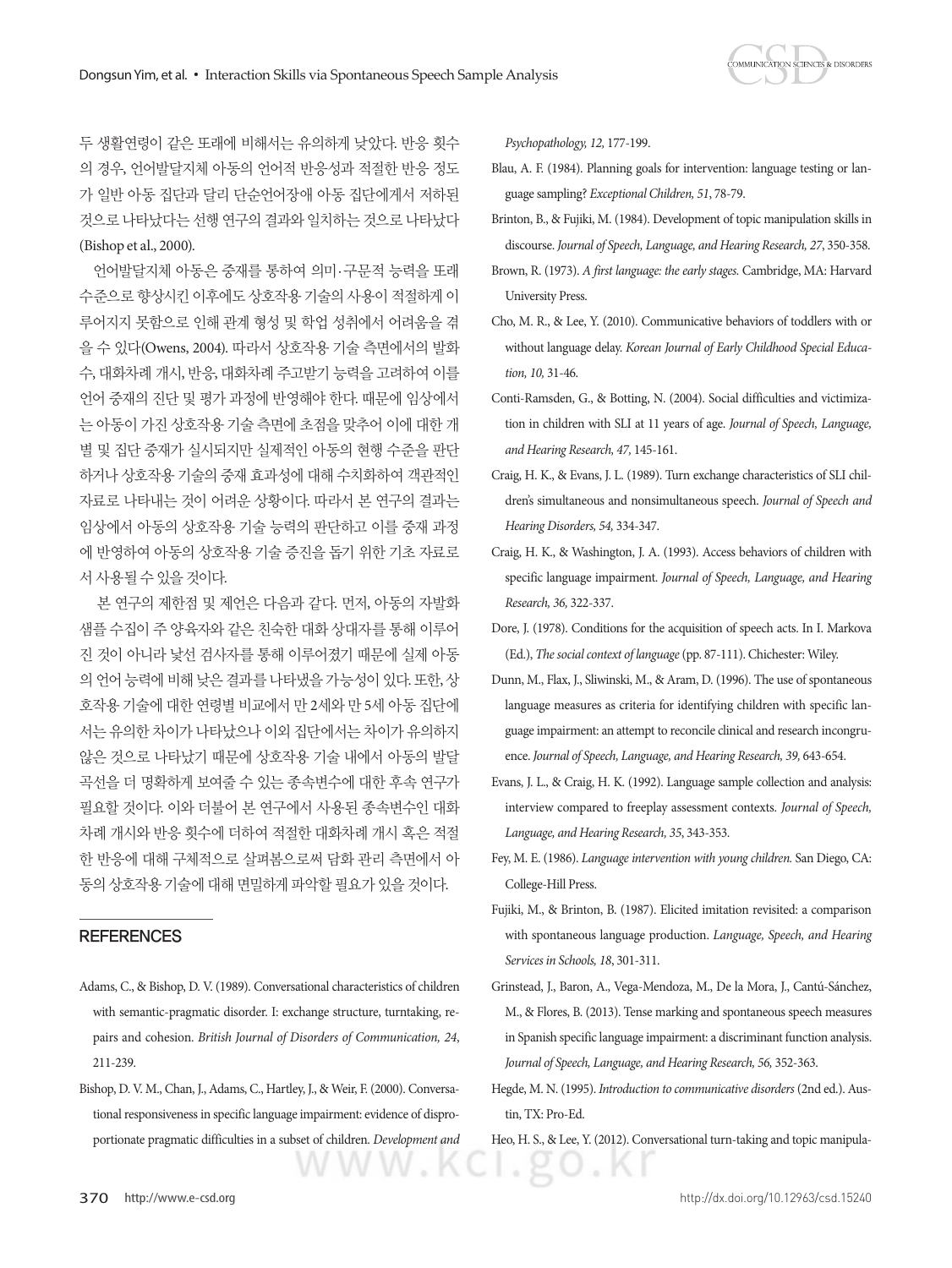

두 생활연령이 같은 또래에 비해서는 유의하게 낮았다. 반응 횟수 의 경우, 언어발달지체 아동의 언어적 반응성과 적절한 반응 정도 가 일반 아동 집단과 달리 단순언어장애 아동 집단에게서 저하된 것으로 나타났다는 선행 연구의 결과와 일치하는 것으로 나타났다 (Bishop et al., 2000).

언어발달지체 아동은 중재를 통하여 의미·구문적 능력을 또래 수준으로 향상시킨 이후에도 상호작용 기술의 사용이 적절하게 이 루어지지 못함으로 인해 관계 형성 및 학업 성취에서 어려움을 겪 을 수 있다(Owens, 2004). 따라서 상호작용 기술 측면에서의 발화 수, 대화차례 개시, 반응, 대화차례 주고받기 능력을 고려하여 이를 언어 중재의 진단 및 평가 과정에 반영해야 한다. 때문에 임상에서 는 아동이 가진 상호작용 기술 측면에 초점을 맞추어 이에 대한 개 별 및 집단 중재가 실시되지만 실제적인 아동의 현행 수준을 판단 하거나 상호작용 기술의 중재 효과성에 대해 수치화하여 객관적인 자료로 나타내는 것이 어려운 상황이다. 따라서 본 연구의 결과는 임상에서 아동의 상호작용 기술 능력의 판단하고 이를 중재 과정 에 반영하여 아동의 상호작용 기술 증진을 돕기 위한 기초 자료로 서사용될수있을것이다.

본 연구의 제한점 및 제언은 다음과 같다. 먼저, 아동의 자발화 샘플 수집이 주 양육자와 같은 친숙한 대화 상대자를 통해 이루어 진 것이 아니라 낯선 검사자를 통해 이루어졌기 때문에 실제 아동 의 언어 능력에 비해 낮은 결과를 나타냈을 가능성이 있다. 또한, 상 호작용 기술에 대한 연령별 비교에서 만 2세와 만 5세 아동 집단에 서는 유의한 차이가 나타났으나 이외 집단에서는 차이가 유의하지 않은 것으로 나타났기 때문에 상호작용 기술 내에서 아동의 발달 곡선을 더 명확하게 보여줄 수 있는 종속변수에 대한 후속 연구가 필요할 것이다. 이와 더불어 본 연구에서 사용된 종속변수인 대화 차례 개시와 반응 횟수에 더하여 적절한 대화차례 개시 혹은 적절 한 반응에 대해 구체적으로 살펴봄으로써 담화 관리 측면에서 아 동의상호작용기술에대해면밀하게파악할필요가있을것이다.

## **REFERENCES**

- Adams, C., & Bishop, D. V. (1989). Conversational characteristics of children with semantic-pragmatic disorder. I: exchange structure, turntaking, repairs and cohesion. *British Journal of Disorders of Communication, 24*, 211-239.
- Bishop, D. V. M., Chan, J., Adams, C., Hartley, J., & Weir, F. (2000). Conversational responsiveness in specific language impairment: evidence of disproportionate pragmatic difficulties in a subset of children. *Development and*

*Psychopathology, 12,* 177-199.

- Blau, A. F. (1984). Planning goals for intervention: language testing or language sampling? *Exceptional Children, 51*, 78-79.
- Brinton, B., & Fujiki, M. (1984). Development of topic manipulation skills in discourse. *Journal of Speech, Language, and Hearing Research, 27*, 350-358.
- Brown, R. (1973). *A first language: the early stages.* Cambridge, MA: Harvard University Press.
- Cho, M. R., & Lee, Y. (2010). Communicative behaviors of toddlers with or without language delay. *Korean Journal of Early Childhood Special Education, 10,* 31-46.
- Conti-Ramsden, G., & Botting, N. (2004). Social difficulties and victimization in children with SLI at 11 years of age. *Journal of Speech, Language, and Hearing Research, 47,* 145-161.
- Craig, H. K., & Evans, J. L. (1989). Turn exchange characteristics of SLI children's simultaneous and nonsimultaneous speech. *Journal of Speech and Hearing Disorders, 54,* 334-347.
- Craig, H. K., & Washington, J. A. (1993). Access behaviors of children with specific language impairment. *Journal of Speech, Language, and Hearing Research, 36,* 322-337.
- Dore, J. (1978). Conditions for the acquisition of speech acts. In I. Markova (Ed.), *The social context of language* (pp. 87-111). Chichester: Wiley.
- Dunn, M., Flax, J., Sliwinski, M., & Aram, D. (1996). The use of spontaneous language measures as criteria for identifying children with specific language impairment: an attempt to reconcile clinical and research incongruence. *Journal of Speech, Language, and Hearing Research, 39,* 643-654.
- Evans, J. L., & Craig, H. K. (1992). Language sample collection and analysis: interview compared to freeplay assessment contexts. *Journal of Speech, Language, and Hearing Research, 35*, 343-353.
- Fey, M. E. (1986). *Language intervention with young children.* San Diego, CA: College-Hill Press.
- Fujiki, M., & Brinton, B. (1987). Elicited imitation revisited: a comparison with spontaneous language production. *Language, Speech, and Hearing Services in Schools, 18*, 301-311.
- Grinstead, J., Baron, A., Vega-Mendoza, M., De la Mora, J., Cantú-Sánchez, M., & Flores, B. (2013). Tense marking and spontaneous speech measures in Spanish specific language impairment: a discriminant function analysis. *Journal of Speech, Language, and Hearing Research, 56,* 352-363.
- Hegde, M. N. (1995). *Introduction to communicative disorders* (2nd ed.). Austin, TX: Pro-Ed.
- Heo, H. S., & Lee, Y. (2012). Conversational turn-taking and topic manipula-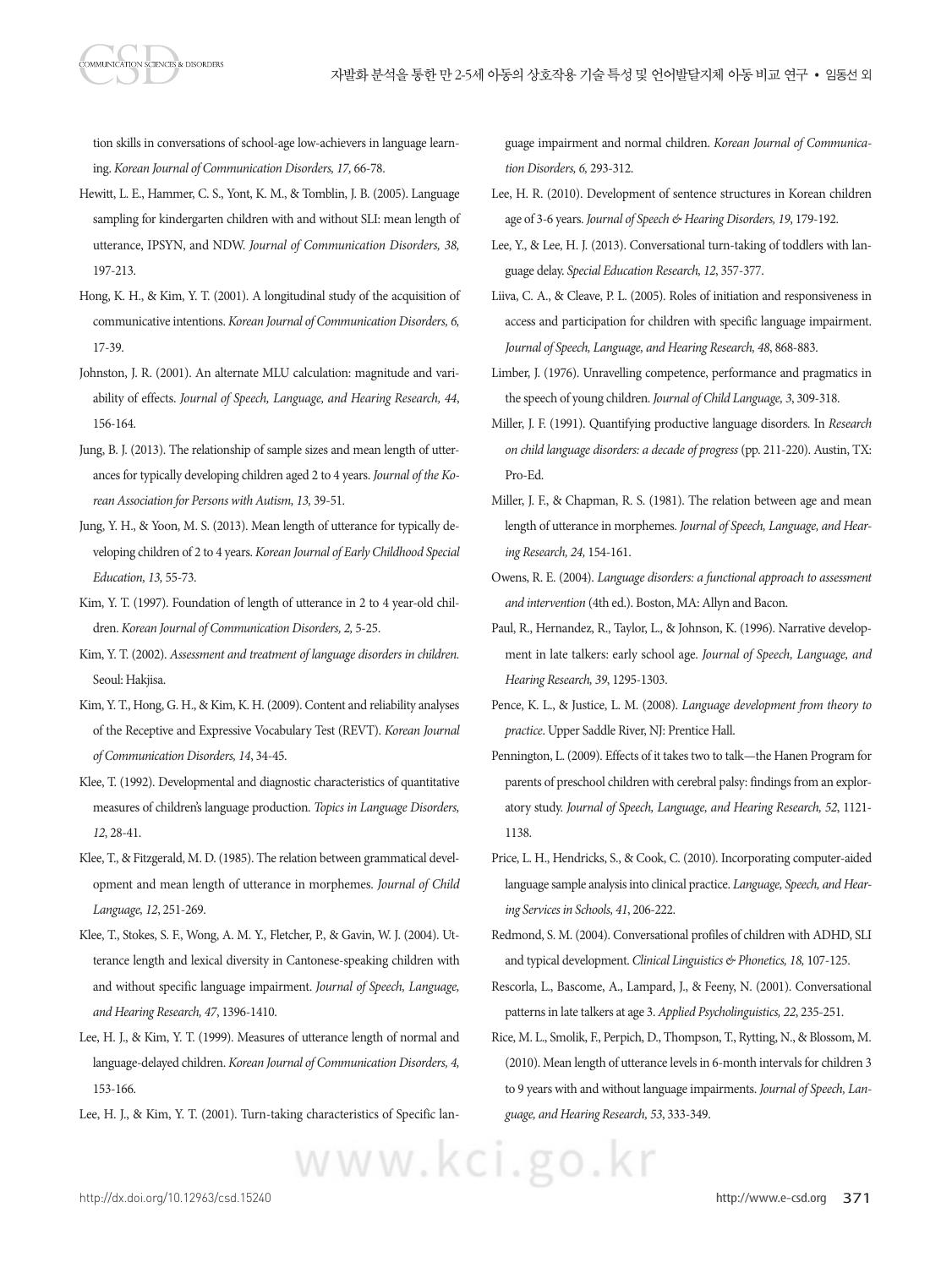MMUNICATION SCIENCES & DISORDERS

tion skills in conversations of school-age low-achievers in language learning. *Korean Journal of Communication Disorders, 17,* 66-78.

- Hewitt, L. E., Hammer, C. S., Yont, K. M., & Tomblin, J. B. (2005). Language sampling for kindergarten children with and without SLI: mean length of utterance, IPSYN, and NDW. *Journal of Communication Disorders, 38,* 197-213.
- Hong, K. H., & Kim, Y. T. (2001). A longitudinal study of the acquisition of communicative intentions. *Korean Journal of Communication Disorders, 6,* 17-39.
- Johnston, J. R. (2001). An alternate MLU calculation: magnitude and variability of effects. *Journal of Speech, Language, and Hearing Research, 44*, 156-164.
- Jung, B. J. (2013). The relationship of sample sizes and mean length of utterances for typically developing children aged 2 to 4 years. *Journal of the Korean Association for Persons with Autism, 13,* 39-51.
- Jung, Y. H., & Yoon, M. S. (2013). Mean length of utterance for typically developing children of 2 to 4 years. *Korean Journal of Early Childhood Special Education, 13,* 55-73.
- Kim, Y. T. (1997). Foundation of length of utterance in 2 to 4 year-old children. *Korean Journal of Communication Disorders, 2,* 5-25.
- Kim, Y. T. (2002). *Assessment and treatment of language disorders in children.* Seoul: Hakjisa.
- Kim, Y. T., Hong, G. H., & Kim, K. H. (2009). Content and reliability analyses of the Receptive and Expressive Vocabulary Test (REVT). *Korean Journal of Communication Disorders, 14*, 34-45.
- Klee, T. (1992). Developmental and diagnostic characteristics of quantitative measures of children's language production. *Topics in Language Disorders, 12*, 28-41.
- Klee, T., & Fitzgerald, M. D. (1985). The relation between grammatical development and mean length of utterance in morphemes. *Journal of Child Language, 12*, 251-269.
- Klee, T., Stokes, S. F., Wong, A. M. Y., Fletcher, P., & Gavin, W. J. (2004). Utterance length and lexical diversity in Cantonese-speaking children with and without specific language impairment. *Journal of Speech, Language, and Hearing Research, 47*, 1396-1410.
- Lee, H. J., & Kim, Y. T. (1999). Measures of utterance length of normal and language-delayed children. *Korean Journal of Communication Disorders, 4,* 153-166.
- Lee, H. J., & Kim, Y. T. (2001). Turn-taking characteristics of Specific lan-

www.kci.go.kr

guage impairment and normal children. *Korean Journal of Communication Disorders, 6,* 293-312.

- Lee, H. R. (2010). Development of sentence structures in Korean children age of 3-6 years. *Journal of Speech & Hearing Disorders, 19*, 179-192.
- Lee, Y., & Lee, H. J. (2013). Conversational turn-taking of toddlers with language delay. *Special Education Research, 12*, 357-377.
- Liiva, C. A., & Cleave, P. L. (2005). Roles of initiation and responsiveness in access and participation for children with specific language impairment. *Journal of Speech, Language, and Hearing Research, 48*, 868-883.
- Limber, J. (1976). Unravelling competence, performance and pragmatics in the speech of young children. *Journal of Child Language, 3*, 309-318.
- Miller, J. F. (1991). Quantifying productive language disorders. In *Research on child language disorders: a decade of progress* (pp. 211-220). Austin, TX: Pro-Ed.
- Miller, J. F., & Chapman, R. S. (1981). The relation between age and mean length of utterance in morphemes. *Journal of Speech, Language, and Hearing Research, 24,* 154-161.
- Owens, R. E. (2004). *Language disorders: a functional approach to assessment and intervention* (4th ed.). Boston, MA: Allyn and Bacon.
- Paul, R., Hernandez, R., Taylor, L., & Johnson, K. (1996). Narrative development in late talkers: early school age. *Journal of Speech, Language, and Hearing Research, 39*, 1295-1303.
- Pence, K. L., & Justice, L. M. (2008). *Language development from theory to practice*. Upper Saddle River, NJ: Prentice Hall.
- Pennington, L. (2009). Effects of it takes two to talk—the Hanen Program for parents of preschool children with cerebral palsy: findings from an exploratory study. *Journal of Speech, Language, and Hearing Research, 52*, 1121- 1138.
- Price, L. H., Hendricks, S., & Cook, C. (2010). Incorporating computer-aided language sample analysis into clinical practice. *Language, Speech, and Hearing Services in Schools, 41*, 206-222.
- Redmond, S. M. (2004). Conversational profiles of children with ADHD, SLI and typical development. *Clinical Linguistics & Phonetics, 18,* 107-125.
- Rescorla, L., Bascome, A., Lampard, J., & Feeny, N. (2001). Conversational patterns in late talkers at age 3. *Applied Psycholinguistics, 22*, 235-251.
- Rice, M. L., Smolik, F., Perpich, D., Thompson, T., Rytting, N., & Blossom, M. (2010). Mean length of utterance levels in 6-month intervals for children 3 to 9 years with and without language impairments. *Journal of Speech, Language, and Hearing Research, 53*, 333-349.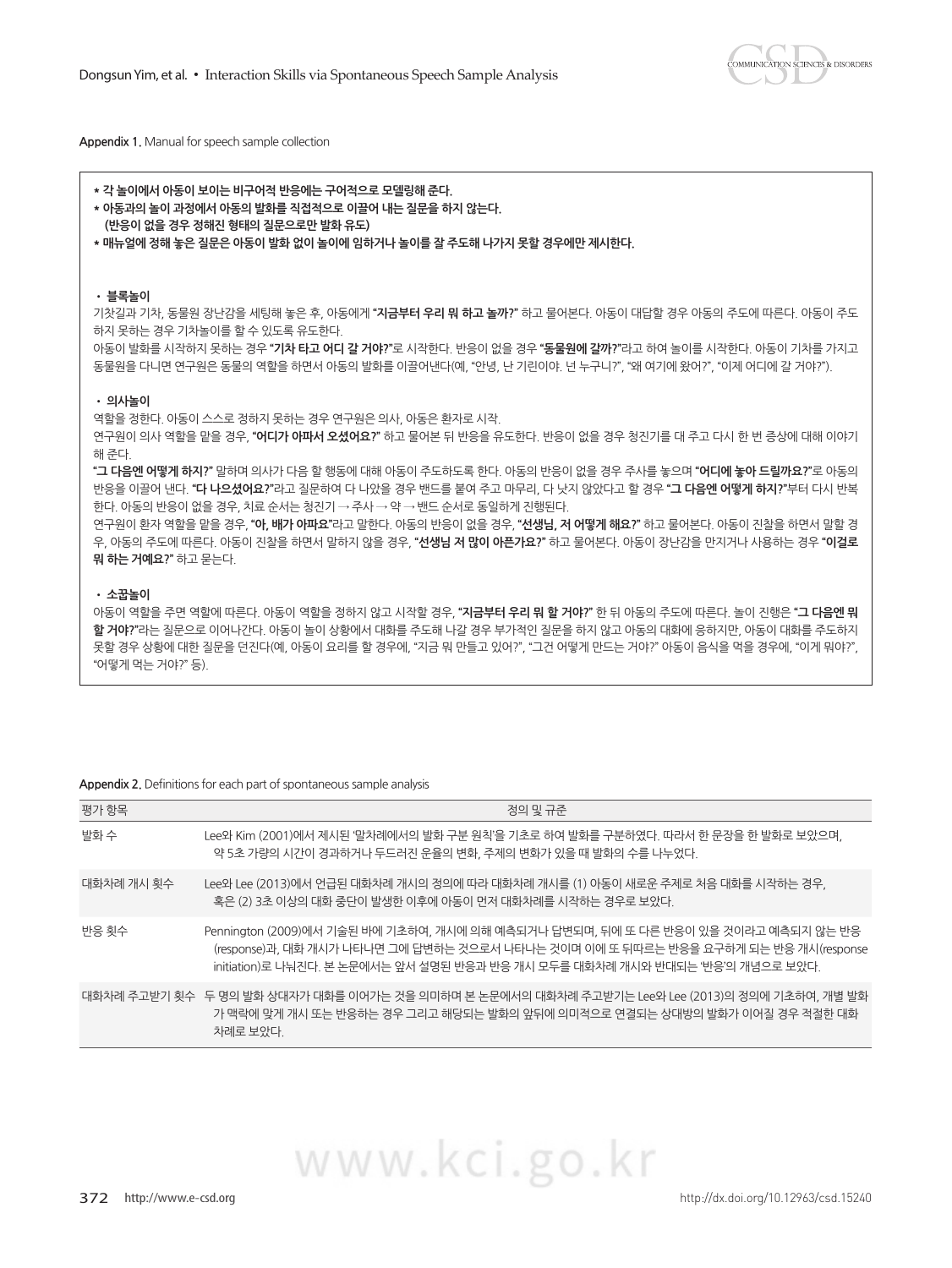**COMMUNICATION SCIENCES & DISORDERS** 

**Appendix 1.** Manual for speech sample collection

| *각 놀이에서 아동이 보이는 비구어적 반응에는 구어적으로 모델링해 준다.<br>* 아동과의 놀이 과정에서 아동의 발화를 직접적으로 이끌어 내는 질문을 하지 않는다.<br>(반응이 없을 경우 정해진 형태의 질문으로만 발화 유도)<br>* 매뉴엌에 정해 놓은 질문은 아동이 발화 없이 놀이에 임하거나 놀이를 잘 주도해 나가지 못할 경우에만 제시하다.                                                                                                                                                                                                                                                                                                                                                                                                                                                                                                                               |  |
|---------------------------------------------------------------------------------------------------------------------------------------------------------------------------------------------------------------------------------------------------------------------------------------------------------------------------------------------------------------------------------------------------------------------------------------------------------------------------------------------------------------------------------------------------------------------------------------------------------------------------------------------------------------------------------------------------------------------------------|--|
| ㆍ 블록놀이<br>기찻길과 기차, 동물원 장난감을 세팅해 놓은 후, 아동에게 <b>"지금부터 우리 뭐 하고 놀까?"</b> 하고 물어본다. 아동이 대답할 경우 아동의 주도에 따른다. 아동이 주도<br>하지 못하는 경우 기차놀이를 할 수 있도록 유도하다.<br>아동이 발화를 시작하지 못하는 경우 <b>"기차 타고 어디 갈 거야?"</b> 로 시작하다. 반응이 없을 경우 <b>"동물원에 갈까?"</b> 라고 하여 놀이를 시작하다. 아동이 기차를 가지고<br>동물원을 다니면 연구원은 동물의 역할을 하면서 아동의 발화를 이끌어낸다(예. "안녕. 난 기린이야. 넌 누구니?". "왜 여기에 왔어?". "이제 어디에 갈 거야?").                                                                                                                                                                                                                                                                                                                                                                  |  |
| • 의사놀이<br>역할을 정하다. 아동이 스스로 정하지 못하는 경우 연구원은 의사. 아동은 화자로 시작.<br>연구원이 의사 역할을 맡을 경우, <b>"어디가 아파서 오셨어요?"</b> 하고 물어본 뒤 반응을 유도하다. 반응이 없을 경우 청진기를 대 주고 다시 하 번 증상에 대해 이야기<br>해 준다.<br><b>"그 다음엔 어떻게 하지?"</b> 말하며 의사가 다음 할 행동에 대해 아동이 주도하도록 하다. 아동의 반응이 없을 경우 주사를 놓으며 <b>"어디에 놓아 드릴까요?"</b> 로 아동의<br>.반응을 이끌어 낸다. <b>"다 나으셨어요?"</b> 라고 질문하여 다 나았을 경우 밴드를 붙여 주고 마무리, 다 낫지 않았다고 할 경우 <b>"그 다음엔 어떻게 하지?"</b> 부터 다시 반복<br>한다. 아동의 반응이 없을 경우. 치료 순서는 청진기 → 주사 → 약 → 밴드 순서로 동일하게 진행된다.<br>연구원이 환자 역할을 맡을 경우, " <b>아, 배가 아파요"</b> 라고 말한다. 아동의 반응이 없을 경우, " <b>선생님, 저 어떻게 해요?"</b> 하고 물어본다. 아동이 진찰을 하면서 말할 경<br>우, 아동의 주도에 따른다. 아동이 진찰을 하면서 말하지 않을 경우, " <b>선생님 저 많이 아픈가요?"</b> 하고 물어본다. 아동이 장난감을 만지거나 사용하는 경우 " <b>이걸로</b><br>뭐 하는 거예요?" 하고 묻는다. |  |
| ㆍ 소꿉놀이<br>아동이 역할을 주면 역할에 따른다. 아동이 역할을 정하지 않고 시작할 경우, <b>"지금부터 우리 뭐 할 거야?"</b> 한 뒤 아동의 주도에 따른다. 놀이 진행은 <b>"그 다음엔 뭐</b><br><b>할 거야?"</b> 라는 질문으로 이어나가다. 아동이 놀이 상황에서 대화를 주도해 나갈 경우 부가적인 질문을 하지 않고 아동의 대화에 응하지만, 아동이 대화를 주도하지<br>못할 경우 상황에 대한 질문을 던진다(예, 아동이 요리를 할 경우에, "지금 뭐 만들고 있어?", "그건 어떻게 만드는 거야?" 아동이 음식을 먹을 경우에, "이게 뭐야?",<br>"어떻게 먹는 거야?" 등).                                                                                                                                                                                                                                                                                                                                                                              |  |

#### **Appendix 2.** Definitions for each part of spontaneous sample analysis

| 평가 항목      | 정의 밓 규준                                                                                                                                                                                                                                                    |
|------------|------------------------------------------------------------------------------------------------------------------------------------------------------------------------------------------------------------------------------------------------------------|
| 발화 수       | Lee와 Kim (2001)에서 제시된 '말차례에서의 발화 구분 원칙'을 기초로 하여 발화를 구분하였다. 따라서 한 문장을 한 발화로 보았으며,<br>약 5초 가량의 시간이 경과하거나 두드러진 운율의 변화, 주제의 변화가 있을 때 발화의 수를 나누었다.                                                                                                              |
| 대화차례 개시 횟수 | Lee와 Lee (2013)에서 언급된 대화차례 개시의 정의에 따라 대화차례 개시를 (1) 아동이 새로운 주제로 처음 대화를 시작하는 경우,<br>혹은 (2) 3초 이상의 대화 중단이 발생한 이후에 아동이 먼저 대화차례를 시작하는 경우로 보았다.                                                                                                                  |
| 반응 횟수      | Pennington (2009)에서 기술된 바에 기초하여, 개시에 의해 예측되거나 답변되며, 뒤에 또 다른 반응이 있을 것이라고 예측되지 않는 반응<br>(response)과, 대화 개시가 나타나면 그에 답변하는 것으로서 나타나는 것이며 이에 또 뒤따르는 반응을 요구하게 되는 반응 개시(response<br>initiation)로 나눠진다. 본 논문에서는 앞서 설명된 반응과 반응 개시 모두를 대화차례 개시와 반대되는 '반응'의 개념으로 보았다. |
|            | 대화차례 주고받기 횟수 두 명의 발화 상대자가 대화를 이어가는 것을 의미하며 본 논문에서의 대화차례 주고받기는 Lee와 Lee (2013)의 정의에 기초하여, 개별 발화<br>가 맥락에 맞게 개시 또는 반응하는 경우 그리고 해당되는 발화의 앞뒤에 의미적으로 연결되는 상대방의 발화가 이어질 경우 적절하 대화<br>차례로 보았다.                                                                    |

372 http://www.e-csd.org http://dx.doi.org/10.12963/csd.15240